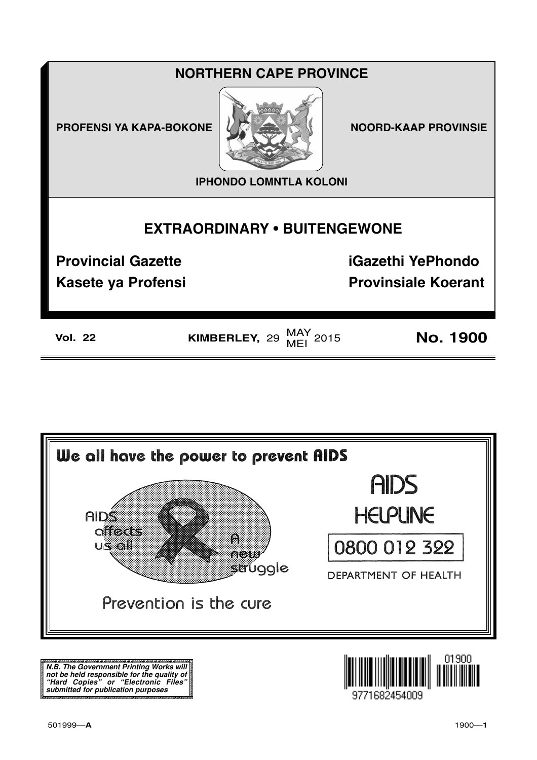## **NORTHERN CAPE PROVINCE**

**PROFENSI YA KAPA-BOKONE** 



**NOORD-KAAP PROVINSIE** 

**IPHONDO LOMNTLA KOLONI** 

## **EXTRAORDINARY . BUITENGEWONE**

**Provincial Gazette** 

**iGazethi YePhondo** 

**Kasete ya Profensi** 

**Provinsiale Koerant** 

**Vol. 22** 

KIMBERLEY, 29  $\frac{\text{MAY}}{\text{MEI}}$  2015

**No. 1900** 



N.B. The Government Printing Works will iv.b. The Government Printing works will<br>not be held responsible for the quality of<br>"Hard" Copies" or "Electronic Files"<br>submitted for publication purposes

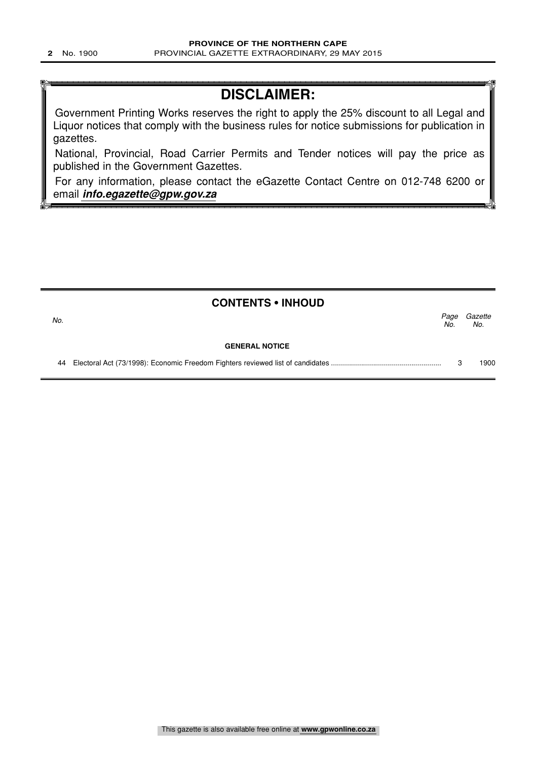## **DISCLAIMER:**

Government Printing Works reserves the right to apply the 25% discount to all Legal and Liquor notices that comply with the business rules for notice submissions for publication in gazettes.

National, Provincial, Road Carrier Permits and Tender notices will pay the price as published in the Government Gazettes.

For any information, please contact the eGazette Contact Centre on 012-748 6200 or email **info.egazette@gpw.gov.za**

|     | <b>CONTENTS • INHOUD</b> |             |                |
|-----|--------------------------|-------------|----------------|
| No. |                          | Page<br>No. | Gazette<br>No. |
|     | <b>GENERAL NOTICE</b>    |             |                |
|     |                          |             | 1900           |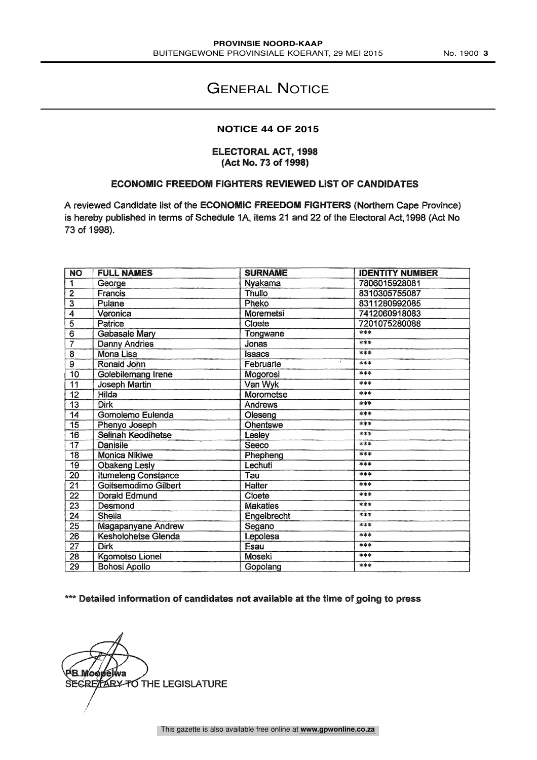## GENERAL NOTICE

#### **NOTICE 44 OF 2015**

#### ELECTORAL ACT, 1998 (Act No. 73 of 1998)

#### ECONOMIC FREEDOM FIGHTERS REVIEWED LIST OF CANDIDATES

A reviewed Candidate list of the ECONOMIC FREEDOM FIGHTERS (Northern Cape Province) is hereby published in terms of Schedule 1A, items 21 and 22 of the Electoral Act,1998 (Act No 73 of 1998).

| <b>NO</b>                 | <b>FULL NAMES</b>          | <b>SURNAME</b>   | <b>IDENTITY NUMBER</b> |
|---------------------------|----------------------------|------------------|------------------------|
| 1                         | George                     | Nyakama          | 7806015928081          |
| $\overline{2}$            | <b>Francis</b>             | <b>Thullo</b>    | 8310305755087          |
| $\overline{\overline{3}}$ | <b>Pulane</b>              | Pheko            | 8311280992085          |
| 4                         | Veronica                   | <b>Moremetsi</b> | 7412060918083          |
| $\overline{5}$            | Patrice                    | Cloete           | 7201075280088          |
| $\overline{6}$            | <b>Gabasale Mary</b>       | Tongwane         | ***                    |
| $\overline{7}$            | <b>Danny Andries</b>       | Jonas            | ***                    |
| $\overline{8}$            | Mona Lisa                  | <b>Isaacs</b>    | $***$                  |
| $\overline{9}$            | Ronald John                | Februarie        | ***                    |
| 10                        | Golebilemang Irene         | Mogorosi         | ***                    |
| 11                        | <b>Joseph Martin</b>       | Van Wyk          | ***                    |
| 12                        | Hilda                      | Morometse        | ***                    |
| $\overline{13}$           | <b>Dirk</b>                | Andrews          | ***                    |
| 14                        | Gomolemo Eulenda           | Oleseng          | ***                    |
| $\overline{15}$           | Phenyo Joseph              | <b>Ohentswe</b>  | ***                    |
| 16                        | <b>Selinah Keodihetse</b>  | Lesley           | ***                    |
| $\overline{17}$           | Danisile                   | Seeco            | ***                    |
| 18                        | <b>Monica Nikiwe</b>       | Phepheng         | ***                    |
| 19                        | <b>Obakeng Lesly</b>       | Lechuti          | ***                    |
| 20                        | <b>Itumeleng Constance</b> | Tau              | ***                    |
| 21                        | Goitsemodimo Gilbert       | Halter           | ***                    |
| $\overline{22}$           | Dorald Edmund              | Cloete           | ***                    |
| $\overline{23}$           | Desmond                    | <b>Makaties</b>  | ***                    |
| $\overline{24}$           | Sheila                     | Engelbrecht      | ***                    |
| 25                        | <b>Magapanyane Andrew</b>  | Segano           | ***                    |
| $\overline{26}$           | <b>Kesholohetse Glenda</b> | Lepolesa         | ***                    |
| 27                        | <b>Dirk</b>                | Esau             | ***                    |
| 28                        | <b>Kgomotso Lionel</b>     | Moseki           | ***                    |
| 29                        | <b>Bohosi Apollo</b>       | Gopolang         | ***                    |

### \*\*\* Detailed information of candidates not available at the time of going to press

<sup>з</sup>В.Мо́оре́ииа SECRETARY TO THE LEGISLATURE